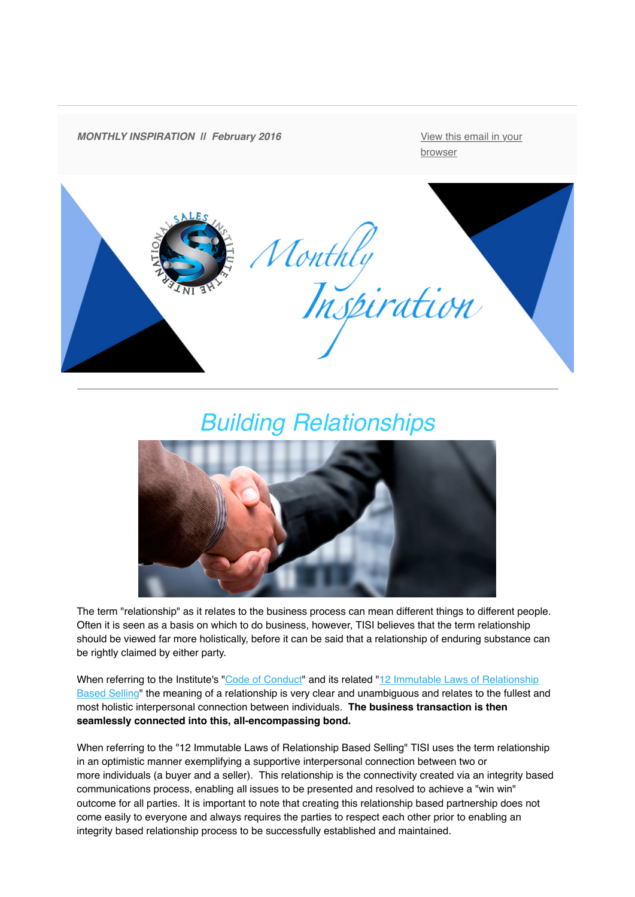

## *Building Relationships*



The term "relationship" as it relates to the business process can mean different things to different people. Often it is seen as a basis on which to do business, however, TISI believes that the term relationship should be viewed far more holistically, before it can be said that a relationship of enduring substance can be rightly claimed by either party.

[When referring to the Institute's "](http://theinternationalsalesinstitute.us11.list-manage1.com/track/click?u=933b80e7a2e18bb216f31e81e&id=0638b7f109&e=dbf1c93ab8)[Code of Conduct](http://theinternationalsalesinstitute.us11.list-manage.com/track/click?u=933b80e7a2e18bb216f31e81e&id=826307c2e1&e=dbf1c93ab8)[" and its related "12 Immutable Laws of Relationship](http://theinternationalsalesinstitute.us11.list-manage1.com/track/click?u=933b80e7a2e18bb216f31e81e&id=0638b7f109&e=dbf1c93ab8) Based Selling" the meaning of a relationship is very clear and unambiguous and relates to the fullest and most holistic interpersonal connection between individuals. **The business transaction is then seamlessly connected into this, all-encompassing bond.**

When referring to the "12 Immutable Laws of Relationship Based Selling" TISI uses the term relationship in an optimistic manner exemplifying a supportive interpersonal connection between two or more individuals (a buyer and a seller). This relationship is the connectivity created via an integrity based communications process, enabling all issues to be presented and resolved to achieve a "win win" outcome for all parties. It is important to note that creating this relationship based partnership does not come easily to everyone and always requires the parties to respect each other prior to enabling an integrity based relationship process to be successfully established and maintained.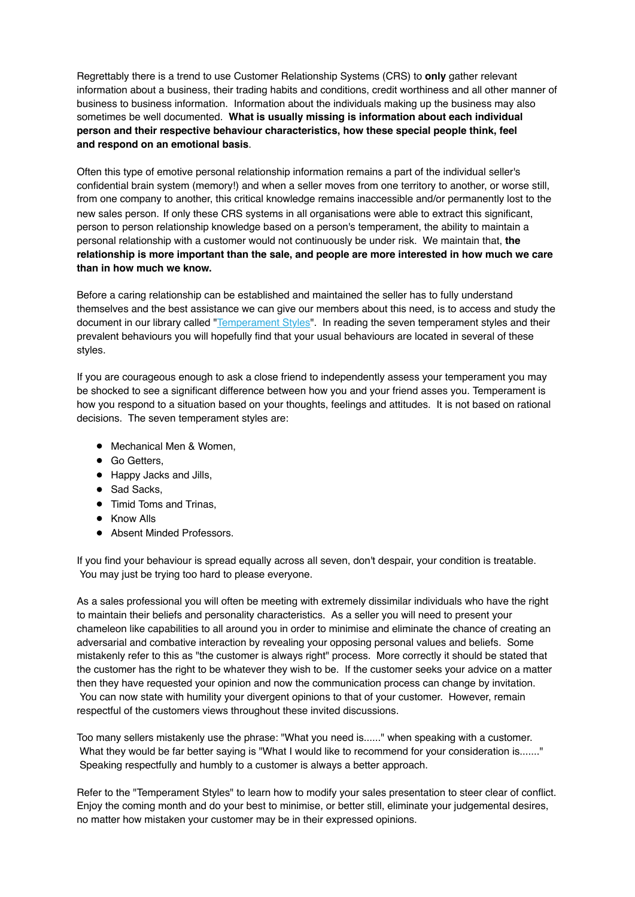Regrettably there is a trend to use Customer Relationship Systems (CRS) to **only** gather relevant information about a business, their trading habits and conditions, credit worthiness and all other manner of business to business information. Information about the individuals making up the business may also sometimes be well documented. **What is usually missing is information about each individual person and their respective behaviour characteristics, how these special people think, feel and respond on an emotional basis**.

Often this type of emotive personal relationship information remains a part of the individual seller's confidential brain system (memory!) and when a seller moves from one territory to another, or worse still, from one company to another, this critical knowledge remains inaccessible and/or permanently lost to the new sales person. If only these CRS systems in all organisations were able to extract this significant, person to person relationship knowledge based on a person's temperament, the ability to maintain a personal relationship with a customer would not continuously be under risk. We maintain that, **the relationship is more important than the sale, and people are more interested in how much we care than in how much we know.**

Before a caring relationship can be established and maintained the seller has to fully understand themselves and the best assistance we can give our members about this need, is to access and study the document in our library called ["Temperament Styles](http://theinternationalsalesinstitute.us11.list-manage.com/track/click?u=933b80e7a2e18bb216f31e81e&id=1d2b2968e3&e=dbf1c93ab8)". In reading the seven temperament styles and their prevalent behaviours you will hopefully find that your usual behaviours are located in several of these styles.

If you are courageous enough to ask a close friend to independently assess your temperament you may be shocked to see a significant difference between how you and your friend asses you. Temperament is how you respond to a situation based on your thoughts, feelings and attitudes. It is not based on rational decisions. The seven temperament styles are:

- Mechanical Men & Women,
- **•** Go Getters,
- Happy Jacks and Jills,
- Sad Sacks.
- Timid Toms and Trinas,
- Know Alls
- **Absent Minded Professors**

If you find your behaviour is spread equally across all seven, don't despair, your condition is treatable. You may just be trying too hard to please everyone.

As a sales professional you will often be meeting with extremely dissimilar individuals who have the right to maintain their beliefs and personality characteristics. As a seller you will need to present your chameleon like capabilities to all around you in order to minimise and eliminate the chance of creating an adversarial and combative interaction by revealing your opposing personal values and beliefs. Some mistakenly refer to this as "the customer is always right" process. More correctly it should be stated that the customer has the right to be whatever they wish to be. If the customer seeks your advice on a matter then they have requested your opinion and now the communication process can change by invitation. You can now state with humility your divergent opinions to that of your customer. However, remain respectful of the customers views throughout these invited discussions.

Too many sellers mistakenly use the phrase: "What you need is......" when speaking with a customer. What they would be far better saying is "What I would like to recommend for your consideration is......." Speaking respectfully and humbly to a customer is always a better approach.

Refer to the "Temperament Styles" to learn how to modify your sales presentation to steer clear of conflict. Enjoy the coming month and do your best to minimise, or better still, eliminate your judgemental desires, no matter how mistaken your customer may be in their expressed opinions.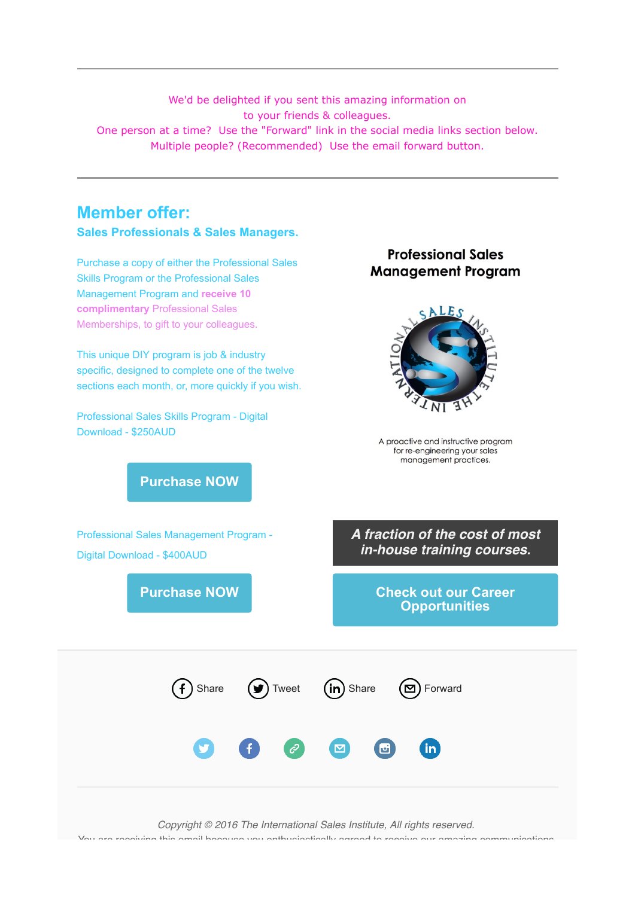We'd be delighted if you sent this amazing information on to your friends & colleagues. One person at a time? Use the "Forward" link in the social media links section below. Multiple people? (Recommended) Use the email forward button.

## **Member offer: Sales Professionals & Sales Managers.**

Purchase a copy of either the Professional Sales Skills Program or the Professional Sales Management Program and **receive 10 complimentary** Professional Sales Memberships, to gift to your colleagues.

This unique DIY program is job & industry specific, designed to complete one of the twelve sections each month, or, more quickly if you wish.

**[Purchase NOW](http://theinternationalsalesinstitute.us11.list-manage.com/track/click?u=933b80e7a2e18bb216f31e81e&id=e680dfbc41&e=dbf1c93ab8)**

Professional Sales Skills Program - Digital Download - \$250AUD

## **Professional Sales Management Program**



A proactive and instructive program for re-engineering your sales management practices.

Professional Sales Management Program - Digital Download - \$400AUD

**[Purchase NOW](http://theinternationalsalesinstitute.us11.list-manage.com/track/click?u=933b80e7a2e18bb216f31e81e&id=4aa2103c3c&e=dbf1c93ab8)**

*A fraction of the cost of most in-house training courses.*

> **[Check out our Career](http://theinternationalsalesinstitute.us11.list-manage2.com/track/click?u=933b80e7a2e18bb216f31e81e&id=74fa67e804&e=dbf1c93ab8) Opportunities**



You are receiving this email because you enthusiastically agreed to receive our amazing communications.